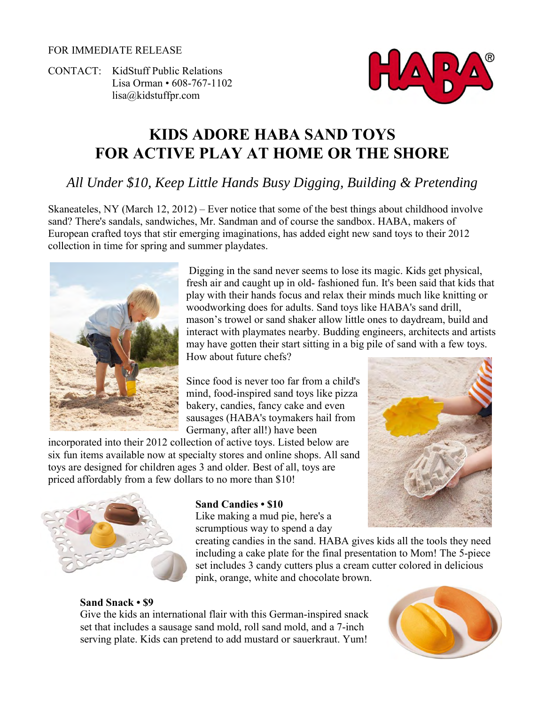#### FOR IMMEDIATE RELEASE

CONTACT: KidStuff Public Relations Lisa Orman • 608-767-1102 [lisa@kidstuffpr.com](mailto:lisa@kidstuffpr.com)



# **KIDS ADORE HABA SAND TOYS FOR ACTIVE PLAY AT HOME OR THE SHORE**

# *All Under \$10, Keep Little Hands Busy Digging, Building & Pretending*

Skaneateles, NY (March 12, 2012) – Ever notice that some of the best things about childhood involve sand? There's sandals, sandwiches, Mr. Sandman and of course the sandbox. HABA, makers of European crafted toys that stir emerging imaginations, has added eight new sand toys to their 2012 collection in time for spring and summer playdates.



Digging in the sand never seems to lose its magic. Kids get physical, fresh air and caught up in old- fashioned fun. It's been said that kids that play with their hands focus and relax their minds much like knitting or woodworking does for adults. Sand toys like HABA's sand drill, mason's trowel or sand shaker allow little ones to daydream, build and interact with playmates nearby. Budding engineers, architects and artists may have gotten their start sitting in a big pile of sand with a few toys. How about future chefs?

Since food is never too far from a child's mind, food-inspired sand toys like pizza bakery, candies, fancy cake and even sausages (HABA's toymakers hail from Germany, after all!) have been

incorporated into their 2012 collection of active toys. Listed below are six fun items available now at specialty stores and online shops. All sand toys are designed for children ages 3 and older. Best of all, toys are priced affordably from a few dollars to no more than \$10!



### **Sand Candies • \$10**

Like making a mud pie, here's a scrumptious way to spend a day

creating candies in the sand. HABA gives kids all the tools they need including a cake plate for the final presentation to Mom! The 5-piece set includes 3 candy cutters plus a cream cutter colored in delicious pink, orange, white and chocolate brown.

#### **Sand Snack • \$9**

Give the kids an international flair with this German-inspired snack set that includes a sausage sand mold, roll sand mold, and a 7-inch serving plate. Kids can pretend to add mustard or sauerkraut. Yum!